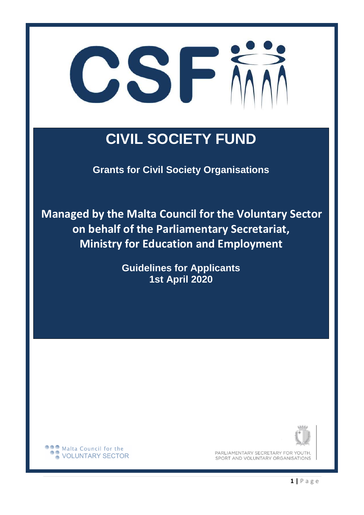

# **CIVIL SOCIETY FUND**

**Grants for Civil Society Organisations** 

**Managed by the Malta Council for the Voluntary Sector on behalf of the Parliamentary Secretariat, Ministry for Education and Employment** 

> **Guidelines for Applicants 1st April 2020**



PARLIAMENTARY SECRETARY FOR YOUTH, SPORT AND VOLUNTARY ORGANISATIONS

**DOO** Malta Council for the VOLUNTARY SECTOR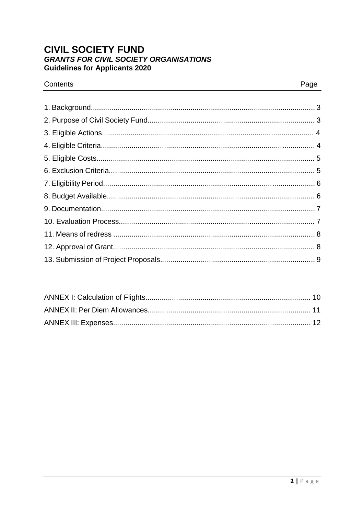# **CIVIL SOCIETY FUND GRANTS FOR CIVIL SOCIETY ORGANISATIONS Guidelines for Applicants 2020**

## Contents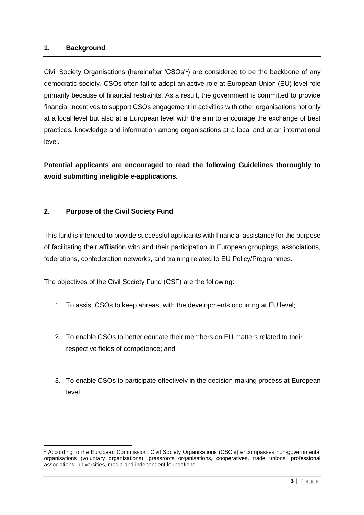#### **1. Background**

 $\overline{a}$ 

Civil Society Organisations (hereinafter 'CSOs'<sup>1</sup> ) are considered to be the backbone of any democratic society. CSOs often fail to adopt an active role at European Union (EU) level role primarily because of financial restraints. As a result, the government is committed to provide financial incentives to support CSOs engagement in activities with other organisations not only at a local level but also at a European level with the aim to encourage the exchange of best practices, knowledge and information among organisations at a local and at an international level.

**Potential applicants are encouraged to read the following Guidelines thoroughly to avoid submitting ineligible e-applications.** 

## **2. Purpose of the Civil Society Fund**

This fund is intended to provide successful applicants with financial assistance for the purpose of facilitating their affiliation with and their participation in European groupings, associations, federations, confederation networks, and training related to EU Policy/Programmes.

The objectives of the Civil Society Fund (CSF) are the following:

- 1. To assist CSOs to keep abreast with the developments occurring at EU level;
- 2. To enable CSOs to better educate their members on EU matters related to their respective fields of competence; and
- 3. To enable CSOs to participate effectively in the decision-making process at European level.

<sup>1</sup> According to the European Commission, Civil Society Organisations (CSO's) encompasses non-governmental organisations (voluntary organisations), grassroots organisations, cooperatives, trade unions, professional associations, universities, media and independent foundations.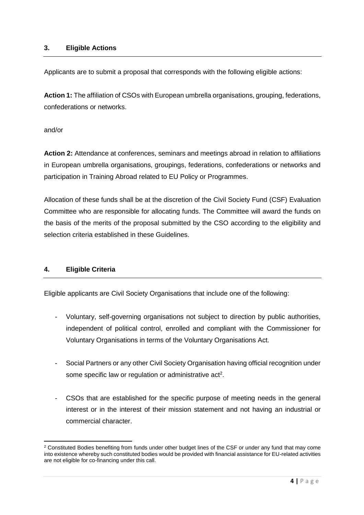Applicants are to submit a proposal that corresponds with the following eligible actions:

**Action 1:** The affiliation of CSOs with European umbrella organisations, grouping, federations, confederations or networks.

and/or

**Action 2:** Attendance at conferences, seminars and meetings abroad in relation to affiliations in European umbrella organisations, groupings, federations, confederations or networks and participation in Training Abroad related to EU Policy or Programmes.

Allocation of these funds shall be at the discretion of the Civil Society Fund (CSF) Evaluation Committee who are responsible for allocating funds. The Committee will award the funds on the basis of the merits of the proposal submitted by the CSO according to the eligibility and selection criteria established in these Guidelines.

# **4. Eligible Criteria**

**.** 

Eligible applicants are Civil Society Organisations that include one of the following:

- Voluntary, self-governing organisations not subject to direction by public authorities, independent of political control, enrolled and compliant with the Commissioner for Voluntary Organisations in terms of the Voluntary Organisations Act.
- Social Partners or any other Civil Society Organisation having official recognition under some specific law or regulation or administrative  $act<sup>2</sup>$ .
- CSOs that are established for the specific purpose of meeting needs in the general interest or in the interest of their mission statement and not having an industrial or commercial character.

<sup>&</sup>lt;sup>2</sup> Constituted Bodies benefiting from funds under other budget lines of the CSF or under any fund that may come into existence whereby such constituted bodies would be provided with financial assistance for EU-related activities are not eligible for co-financing under this call.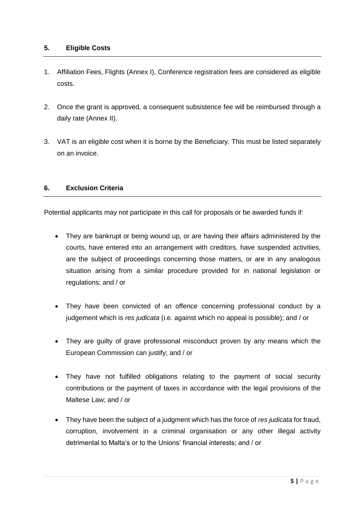#### **5. Eligible Costs**

- 1. Affiliation Fees, Flights (Annex I), Conference registration fees are considered as eligible costs.
- 2. Once the grant is approved, a consequent subsistence fee will be reimbursed through a daily rate (Annex II).
- 3. VAT is an eligible cost when it is borne by the Beneficiary. This must be listed separately on an invoice.

## **6. Exclusion Criteria**

Potential applicants may not participate in this call for proposals or be awarded funds if:

- They are bankrupt or being wound up, or are having their affairs administered by the courts, have entered into an arrangement with creditors, have suspended activities, are the subject of proceedings concerning those matters, or are in any analogous situation arising from a similar procedure provided for in national legislation or regulations; and / or
- They have been convicted of an offence concerning professional conduct by a judgement which is *res judicata* (i.e. against which no appeal is possible); and / or
- They are guilty of grave professional misconduct proven by any means which the European Commission can justify; and / or
- They have not fulfilled obligations relating to the payment of social security contributions or the payment of taxes in accordance with the legal provisions of the Maltese Law; and / or
- They have been the subject of a judgment which has the force of *res judicata* for fraud, corruption, involvement in a criminal organisation or any other illegal activity detrimental to Malta's or to the Unions' financial interests; and / or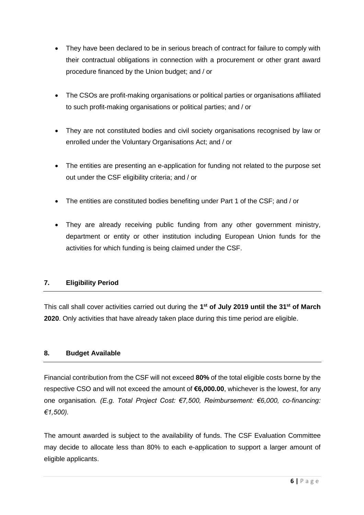- They have been declared to be in serious breach of contract for failure to comply with their contractual obligations in connection with a procurement or other grant award procedure financed by the Union budget; and / or
- The CSOs are profit-making organisations or political parties or organisations affiliated to such profit-making organisations or political parties; and / or
- They are not constituted bodies and civil society organisations recognised by law or enrolled under the Voluntary Organisations Act; and / or
- The entities are presenting an e-application for funding not related to the purpose set out under the CSF eligibility criteria; and / or
- The entities are constituted bodies benefiting under Part 1 of the CSF; and / or
- They are already receiving public funding from any other government ministry, department or entity or other institution including European Union funds for the activities for which funding is being claimed under the CSF.

# **7. Eligibility Period**

This call shall cover activities carried out during the **1 st of July 2019 until the 31 st of March 2020**. Only activities that have already taken place during this time period are eligible.

# **8. Budget Available**

Financial contribution from the CSF will not exceed **80%** of the total eligible costs borne by the respective CSO and will not exceed the amount of **€6,000.00**, whichever is the lowest, for any one organisation*. (E.g. Total Project Cost: €7,500, Reimbursement: €6,000, co-financing: €1,500).*

The amount awarded is subject to the availability of funds. The CSF Evaluation Committee may decide to allocate less than 80% to each e-application to support a larger amount of eligible applicants.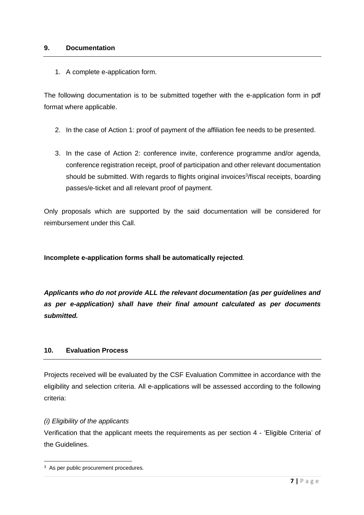#### **9. Documentation**

1. A complete e-application form.

The following documentation is to be submitted together with the e-application form in pdf format where applicable.

- 2. In the case of Action 1: proof of payment of the affiliation fee needs to be presented.
- 3. In the case of Action 2: conference invite, conference programme and/or agenda, conference registration receipt, proof of participation and other relevant documentation should be submitted. With regards to flights original invoices<sup>3</sup>/fiscal receipts, boarding passes/e-ticket and all relevant proof of payment.

Only proposals which are supported by the said documentation will be considered for reimbursement under this Call.

**Incomplete e-application forms shall be automatically rejected***.* 

*Applicants who do not provide ALL the relevant documentation (as per guidelines and as per e-application) shall have their final amount calculated as per documents submitted.* 

#### **10. Evaluation Process**

Projects received will be evaluated by the CSF Evaluation Committee in accordance with the eligibility and selection criteria. All e-applications will be assessed according to the following criteria:

#### *(i) Eligibility of the applicants*

**.** 

Verification that the applicant meets the requirements as per section 4 - 'Eligible Criteria' of the Guidelines.

<sup>&</sup>lt;sup>3</sup> As per public procurement procedures.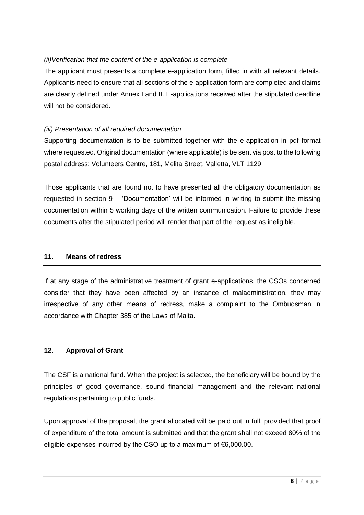# *(ii)Verification that the content of the e-application is complete*

The applicant must presents a complete e-application form, filled in with all relevant details. Applicants need to ensure that all sections of the e-application form are completed and claims are clearly defined under Annex I and II. E-applications received after the stipulated deadline will not be considered.

## *(iii) Presentation of all required documentation*

Supporting documentation is to be submitted together with the e-application in pdf format where requested. Original documentation (where applicable) is be sent via post to the following postal address: Volunteers Centre, 181, Melita Street, Valletta, VLT 1129.

Those applicants that are found not to have presented all the obligatory documentation as requested in section 9 – 'Documentation' will be informed in writing to submit the missing documentation within 5 working days of the written communication. Failure to provide these documents after the stipulated period will render that part of the request as ineligible.

#### **11. Means of redress**

If at any stage of the administrative treatment of grant e-applications, the CSOs concerned consider that they have been affected by an instance of maladministration, they may irrespective of any other means of redress, make a complaint to the Ombudsman in accordance with Chapter 385 of the Laws of Malta.

# **12. Approval of Grant**

The CSF is a national fund. When the project is selected, the beneficiary will be bound by the principles of good governance, sound financial management and the relevant national regulations pertaining to public funds.

Upon approval of the proposal, the grant allocated will be paid out in full, provided that proof of expenditure of the total amount is submitted and that the grant shall not exceed 80% of the eligible expenses incurred by the CSO up to a maximum of €6,000.00.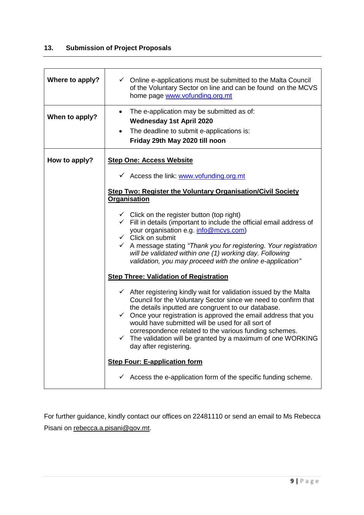# **13. Submission of Project Proposals**

| Where to apply? | $\checkmark$ Online e-applications must be submitted to the Malta Council<br>of the Voluntary Sector on line and can be found on the MCVS<br>home page www.vofunding.org.mt                                                                                                                                                                                                                                                                                                                                                                                                                                                                                                     |  |  |  |  |  |  |  |  |  |
|-----------------|---------------------------------------------------------------------------------------------------------------------------------------------------------------------------------------------------------------------------------------------------------------------------------------------------------------------------------------------------------------------------------------------------------------------------------------------------------------------------------------------------------------------------------------------------------------------------------------------------------------------------------------------------------------------------------|--|--|--|--|--|--|--|--|--|
| When to apply?  | The e-application may be submitted as of:<br><b>Wednesday 1st April 2020</b><br>The deadline to submit e-applications is:<br>$\bullet$<br>Friday 29th May 2020 till noon                                                                                                                                                                                                                                                                                                                                                                                                                                                                                                        |  |  |  |  |  |  |  |  |  |
| How to apply?   | <b>Step One: Access Website</b><br>← Access the link: www.vofunding.org.mt<br><b>Step Two: Register the Voluntary Organisation/Civil Society</b><br>Organisation<br>$\checkmark$ Click on the register button (top right)<br>$\checkmark$ Fill in details (important to include the official email address of<br>your organisation e.g. info@mcvs.com)<br>$\checkmark$ Click on submit<br>← A message stating "Thank you for registering. Your registration<br>will be validated within one (1) working day. Following<br>validation, you may proceed with the online e-application"                                                                                            |  |  |  |  |  |  |  |  |  |
|                 | <b>Step Three: Validation of Registration</b><br>$\checkmark$ After registering kindly wait for validation issued by the Malta<br>Council for the Voluntary Sector since we need to confirm that<br>the details inputted are congruent to our database.<br>$\checkmark$ Once your registration is approved the email address that you<br>would have submitted will be used for all sort of<br>correspondence related to the various funding schemes.<br>$\checkmark$ The validation will be granted by a maximum of one WORKING<br>day after registering.<br><b>Step Four: E-application form</b><br>$\checkmark$ Access the e-application form of the specific funding scheme. |  |  |  |  |  |  |  |  |  |

For further guidance, kindly contact our offices on 22481110 or send an email to Ms Rebecca Pisani on [rebecca.a.pisani@gov.mt.](mailto:rebecca.a.pisani@gov.mt)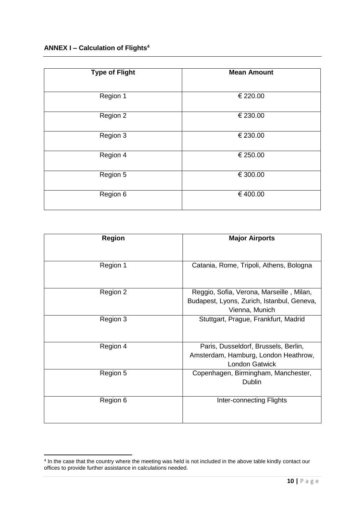| <b>Type of Flight</b> | <b>Mean Amount</b> |
|-----------------------|--------------------|
| Region 1              | € 220.00           |
| Region 2              | € 230.00           |
| Region 3              | € 230.00           |
| Region 4              | € 250.00           |
| Region 5              | € 300.00           |
| Region 6              | €400.00            |

| <b>Region</b> | <b>Major Airports</b>                                                                                    |
|---------------|----------------------------------------------------------------------------------------------------------|
| Region 1      | Catania, Rome, Tripoli, Athens, Bologna                                                                  |
| Region 2      | Reggio, Sofia, Verona, Marseille, Milan,<br>Budapest, Lyons, Zurich, Istanbul, Geneva,<br>Vienna, Munich |
| Region 3      | Stuttgart, Prague, Frankfurt, Madrid                                                                     |
| Region 4      | Paris, Dusseldorf, Brussels, Berlin,<br>Amsterdam, Hamburg, London Heathrow,<br><b>London Gatwick</b>    |
| Region 5      | Copenhagen, Birmingham, Manchester,<br>Dublin                                                            |
| Region 6      | Inter-connecting Flights                                                                                 |

 4 In the case that the country where the meeting was held is not included in the above table kindly contact our offices to provide further assistance in calculations needed.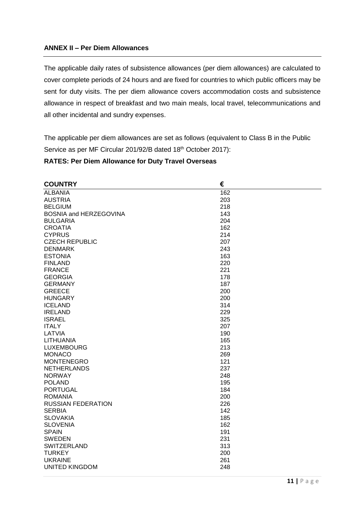## **ANNEX II – Per Diem Allowances**

The applicable daily rates of subsistence allowances (per diem allowances) are calculated to cover complete periods of 24 hours and are fixed for countries to which public officers may be sent for duty visits. The per diem allowance covers accommodation costs and subsistence allowance in respect of breakfast and two main meals, local travel, telecommunications and all other incidental and sundry expenses.

The applicable per diem allowances are set as follows (equivalent to Class B in the Public Service as per MF Circular 201/92/B dated 18th October 2017):

#### **RATES: Per Diem Allowance for Duty Travel Overseas**

| <b>COUNTRY</b>            | €   |
|---------------------------|-----|
| <b>ALBANIA</b>            | 162 |
| <b>AUSTRIA</b>            | 203 |
| <b>BELGIUM</b>            | 218 |
| BOSNIA and HERZEGOVINA    | 143 |
| <b>BULGARIA</b>           | 204 |
| <b>CROATIA</b>            | 162 |
| <b>CYPRUS</b>             | 214 |
| <b>CZECH REPUBLIC</b>     | 207 |
| <b>DENMARK</b>            | 243 |
| <b>ESTONIA</b>            | 163 |
| <b>FINLAND</b>            | 220 |
| <b>FRANCE</b>             | 221 |
| <b>GEORGIA</b>            | 178 |
| <b>GERMANY</b>            | 187 |
| <b>GREECE</b>             | 200 |
| <b>HUNGARY</b>            | 200 |
| <b>ICELAND</b>            | 314 |
| <b>IRELAND</b>            | 229 |
| <b>ISRAEL</b>             | 325 |
| <b>ITALY</b>              | 207 |
| LATVIA                    | 190 |
| <b>LITHUANIA</b>          | 165 |
| <b>LUXEMBOURG</b>         | 213 |
| <b>MONACO</b>             | 269 |
| <b>MONTENEGRO</b>         | 121 |
| <b>NETHERLANDS</b>        | 237 |
| <b>NORWAY</b>             | 248 |
| <b>POLAND</b>             | 195 |
| <b>PORTUGAL</b>           | 184 |
| <b>ROMANIA</b>            | 200 |
| <b>RUSSIAN FEDERATION</b> | 226 |
| <b>SERBIA</b>             | 142 |
| <b>SLOVAKIA</b>           | 185 |
| <b>SLOVENIA</b>           | 162 |
| <b>SPAIN</b>              | 191 |
| <b>SWEDEN</b>             | 231 |
| SWITZERLAND               | 313 |
| <b>TURKEY</b>             | 200 |
| <b>UKRAINE</b>            | 261 |
| <b>UNITED KINGDOM</b>     | 248 |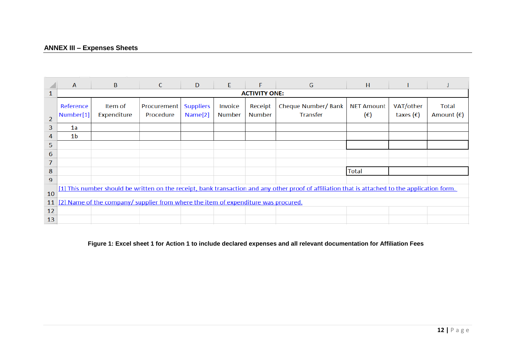# **ANNEX III – Expenses Sheets**

|                | $\mathsf{A}$                                                                                                                                    | $\mathbf{B}$           | C                        | D                                       | E.                       | F                        | G                                      | H                        |                                 |                              |
|----------------|-------------------------------------------------------------------------------------------------------------------------------------------------|------------------------|--------------------------|-----------------------------------------|--------------------------|--------------------------|----------------------------------------|--------------------------|---------------------------------|------------------------------|
| 1              | <b>ACTIVITY ONE:</b>                                                                                                                            |                        |                          |                                         |                          |                          |                                        |                          |                                 |                              |
| $\overline{2}$ | Reference<br>Number[1]                                                                                                                          | Item of<br>Expenditure | Procurement<br>Procedure | <b>Suppliers</b><br>Name <sup>[2]</sup> | Invoice<br><b>Number</b> | Receipt<br><b>Number</b> | Cheque Number/ Bank<br><b>Transfer</b> | <b>NET Amount</b><br>(€) | VAT/other<br>taxes $(\epsilon)$ | Total<br>Amount $(\epsilon)$ |
| 3              | 1a                                                                                                                                              |                        |                          |                                         |                          |                          |                                        |                          |                                 |                              |
| 4              | 1b                                                                                                                                              |                        |                          |                                         |                          |                          |                                        |                          |                                 |                              |
| 5.             |                                                                                                                                                 |                        |                          |                                         |                          |                          |                                        |                          |                                 |                              |
| 6              |                                                                                                                                                 |                        |                          |                                         |                          |                          |                                        |                          |                                 |                              |
| 7              |                                                                                                                                                 |                        |                          |                                         |                          |                          |                                        |                          |                                 |                              |
| 8              |                                                                                                                                                 |                        |                          |                                         |                          |                          |                                        | Total                    |                                 |                              |
| 9              |                                                                                                                                                 |                        |                          |                                         |                          |                          |                                        |                          |                                 |                              |
| 10             | [1] This number should be written on the receipt, bank transaction and any other proof of affiliation that is attached to the application form. |                        |                          |                                         |                          |                          |                                        |                          |                                 |                              |
| 11             | [2] Name of the company/supplier from where the item of expenditure was procured.                                                               |                        |                          |                                         |                          |                          |                                        |                          |                                 |                              |
| 12             |                                                                                                                                                 |                        |                          |                                         |                          |                          |                                        |                          |                                 |                              |
| 13             |                                                                                                                                                 |                        |                          |                                         |                          |                          |                                        |                          |                                 |                              |

### **Figure 1: Excel sheet 1 for Action 1 to include declared expenses and all relevant documentation for Affiliation Fees**